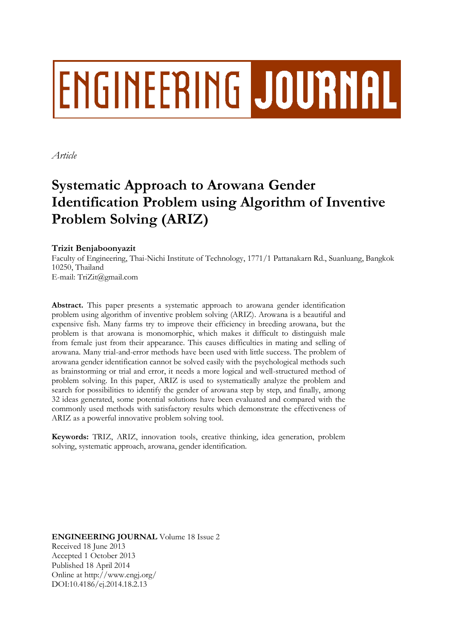# **ENGINEERING JOURNAL**

*Article*

# **Systematic Approach to Arowana Gender Identification Problem using Algorithm of Inventive Problem Solving (ARIZ)**

# **Trizit Benjaboonyazit**

Faculty of Engineering, Thai-Nichi Institute of Technology, 1771/1 Pattanakarn Rd., Suanluang, Bangkok 10250, Thailand E-mail: TriZit@gmail.com

**Abstract.** This paper presents a systematic approach to arowana gender identification problem using algorithm of inventive problem solving (ARIZ). Arowana is a beautiful and expensive fish. Many farms try to improve their efficiency in breeding arowana, but the problem is that arowana is monomorphic, which makes it difficult to distinguish male from female just from their appearance. This causes difficulties in mating and selling of arowana. Many trial-and-error methods have been used with little success. The problem of arowana gender identification cannot be solved easily with the psychological methods such as brainstorming or trial and error, it needs a more logical and well-structured method of problem solving. In this paper, ARIZ is used to systematically analyze the problem and search for possibilities to identify the gender of arowana step by step, and finally, among 32 ideas generated, some potential solutions have been evaluated and compared with the commonly used methods with satisfactory results which demonstrate the effectiveness of ARIZ as a powerful innovative problem solving tool.

**Keywords:** TRIZ, ARIZ, innovation tools, creative thinking, idea generation, problem solving, systematic approach, arowana, gender identification.

**ENGINEERING JOURNAL** Volume 18 Issue 2 Received 18 June 2013 Accepted 1 October 2013 Published 18 April 2014 Online at http://www.engj.org/ DOI:10.4186/ej.2014.18.2.13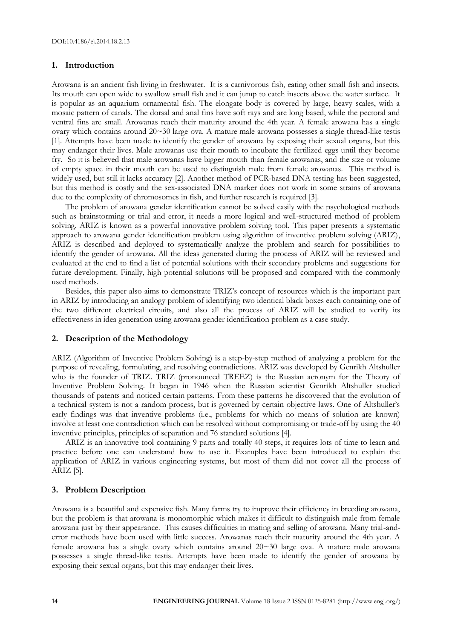#### **1. Introduction**

Arowana is an ancient fish living in freshwater. It is a carnivorous fish, eating other small fish and insects. Its mouth can open wide to swallow small fish and it can jump to catch insects above the water surface. It is popular as an aquarium ornamental fish. The elongate body is covered by large, heavy scales, with a mosaic pattern of canals. The dorsal and anal fins have soft rays and are long based, while the pectoral and ventral fins are small. Arowanas reach their maturity around the 4th year. A female arowana has a single ovary which contains around 20~30 large ova. A mature male arowana possesses a single thread-like testis [1]. Attempts have been made to identify the gender of arowana by exposing their sexual organs, but this may endanger their lives. Male arowanas use their mouth to incubate the fertilized eggs until they become fry. So it is believed that male arowanas have bigger mouth than female arowanas, and the size or volume of empty space in their mouth can be used to distinguish male from female arowanas. This method is widely used, but still it lacks accuracy [2]. Another method of PCR-based DNA testing has been suggested, but this method is costly and the sex-associated DNA marker does not work in some strains of arowana due to the complexity of chromosomes in fish, and further research is required [3].

The problem of arowana gender identification cannot be solved easily with the psychological methods such as brainstorming or trial and error, it needs a more logical and well-structured method of problem solving. ARIZ is known as a powerful innovative problem solving tool. This paper presents a systematic approach to arowana gender identification problem using algorithm of inventive problem solving (ARIZ), ARIZ is described and deployed to systematically analyze the problem and search for possibilities to identify the gender of arowana. All the ideas generated during the process of ARIZ will be reviewed and evaluated at the end to find a list of potential solutions with their secondary problems and suggestions for future development. Finally, high potential solutions will be proposed and compared with the commonly used methods.

Besides, this paper also aims to demonstrate TRIZ's concept of resources which is the important part in ARIZ by introducing an analogy problem of identifying two identical black boxes each containing one of the two different electrical circuits, and also all the process of ARIZ will be studied to verify its effectiveness in idea generation using arowana gender identification problem as a case study.

#### **2. Description of the Methodology**

ARIZ (Algorithm of Inventive Problem Solving) is a step-by-step method of analyzing a problem for the purpose of revealing, formulating, and resolving contradictions. ARIZ was developed by Genrikh Altshuller who is the founder of TRIZ. TRIZ (pronounced TREEZ) is the Russian acronym for the Theory of Inventive Problem Solving. It began in 1946 when the Russian scientist Genrikh Altshuller studied thousands of patents and noticed certain patterns. From these patterns he discovered that the evolution of a technical system is not a random process, but is governed by certain objective laws. One of Altshuller's early findings was that inventive problems (i.e., problems for which no means of solution are known) involve at least one contradiction which can be resolved without compromising or trade-off by using the 40 inventive principles, principles of separation and 76 standard solutions [4].

ARIZ is an innovative tool containing 9 parts and totally 40 steps, it requires lots of time to learn and practice before one can understand how to use it. Examples have been introduced to explain the application of ARIZ in various engineering systems, but most of them did not cover all the process of ARIZ [5].

# **3. Problem Description**

Arowana is a beautiful and expensive fish. Many farms try to improve their efficiency in breeding arowana, but the problem is that arowana is monomorphic which makes it difficult to distinguish male from female arowana just by their appearance. This causes difficulties in mating and selling of arowana. Many trial-anderror methods have been used with little success. Arowanas reach their maturity around the 4th year. A female arowana has a single ovary which contains around  $20~30$  large ova. A mature male arowana possesses a single thread-like testis. Attempts have been made to identify the gender of arowana by exposing their sexual organs, but this may endanger their lives.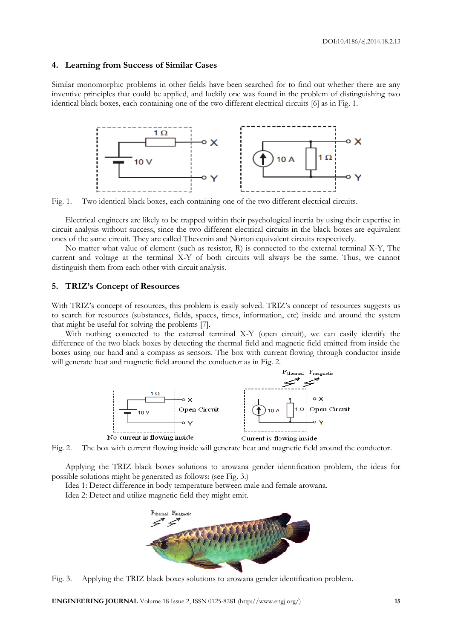#### **4. Learning from Success of Similar Cases**

Similar monomorphic problems in other fields have been searched for to find out whether there are any inventive principles that could be applied, and luckily one was found in the problem of distinguishing two identical black boxes, each containing one of the two different electrical circuits [6] as in Fig. 1.



Fig. 1. Two identical black boxes, each containing one of the two different electrical circuits.

Electrical engineers are likely to be trapped within their psychological inertia by using their expertise in circuit analysis without success, since the two different electrical circuits in the black boxes are equivalent ones of the same circuit. They are called Thevenin and Norton equivalent circuits respectively.

No matter what value of element (such as resistor, R) is connected to the external terminal X-Y, The current and voltage at the terminal X-Y of both circuits will always be the same. Thus, we cannot distinguish them from each other with circuit analysis.

#### **5. TRIZ's Concept of Resources**

With TRIZ's concept of resources, this problem is easily solved. TRIZ's concept of resources suggests us to search for resources (substances, fields, spaces, times, information, etc) inside and around the system that might be useful for solving the problems [7].

With nothing connected to the external terminal X-Y (open circuit), we can easily identify the difference of the two black boxes by detecting the thermal field and magnetic field emitted from inside the boxes using our hand and a compass as sensors. The box with current flowing through conductor inside will generate heat and magnetic field around the conductor as in Fig. 2.



Fig. 2. The box with current flowing inside will generate heat and magnetic field around the conductor.

Applying the TRIZ black boxes solutions to arowana gender identification problem, the ideas for possible solutions might be generated as follows: (see Fig. 3.)

Idea 1: Detect difference in body temperature between male and female arowana.

Idea 2: Detect and utilize magnetic field they might emit.



Fig. 3. Applying the TRIZ black boxes solutions to arowana gender identification problem.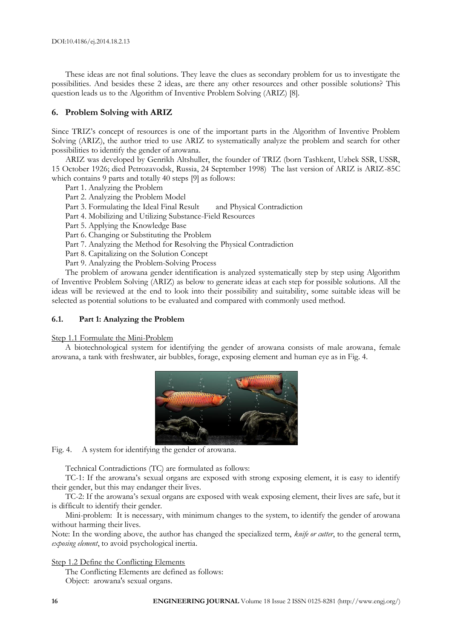These ideas are not final solutions. They leave the clues as secondary problem for us to investigate the possibilities. And besides these 2 ideas, are there any other resources and other possible solutions? This question leads us to the Algorithm of Inventive Problem Solving (ARIZ) [8].

# **6. Problem Solving with ARIZ**

Since TRIZ's concept of resources is one of the important parts in the Algorithm of Inventive Problem Solving (ARIZ), the author tried to use ARIZ to systematically analyze the problem and search for other possibilities to identify the gender of arowana.

ARIZ was developed by Genrikh Altshuller, the founder of TRIZ (born Tashkent, Uzbek SSR, USSR, 15 October 1926; died Petrozavodsk, Russia, 24 September 1998) The last version of ARIZ is ARIZ-85C which contains 9 parts and totally 40 steps [9] as follows:

- Part 1. Analyzing the Problem
- Part 2. Analyzing the Problem Model

Part 3. Formulating the Ideal Final Result and Physical Contradiction

Part 4. Mobilizing and Utilizing Substance-Field Resources

Part 5. Applying the Knowledge Base

Part 6. Changing or Substituting the Problem

Part 7. Analyzing the Method for Resolving the Physical Contradiction

Part 8. Capitalizing on the Solution Concept

Part 9. Analyzing the Problem-Solving Process

The problem of arowana gender identification is analyzed systematically step by step using Algorithm of Inventive Problem Solving (ARIZ) as below to generate ideas at each step for possible solutions. All the ideas will be reviewed at the end to look into their possibility and suitability, some suitable ideas will be selected as potential solutions to be evaluated and compared with commonly used method.

#### **6.1. Part 1: Analyzing the Problem**

#### Step 1.1 Formulate the Mini-Problem

A biotechnological system for identifying the gender of arowana consists of male arowana, female arowana, a tank with freshwater, air bubbles, forage, exposing element and human eye as in Fig. 4.



Fig. 4. A system for identifying the gender of arowana.

Technical Contradictions (TC) are formulated as follows:

TC-1: If the arowana's sexual organs are exposed with strong exposing element, it is easy to identify their gender, but this may endanger their lives.

TC-2: If the arowana's sexual organs are exposed with weak exposing element, their lives are safe, but it is difficult to identify their gender.

Mini-problem: It is necessary, with minimum changes to the system, to identify the gender of arowana without harming their lives.

Note: In the wording above, the author has changed the specialized term, *knife or cutter*, to the general term, *exposing element*, to avoid psychological inertia.

Step 1.2 Define the Conflicting Elements

The Conflicting Elements are defined as follows:

Object: arowana's sexual organs.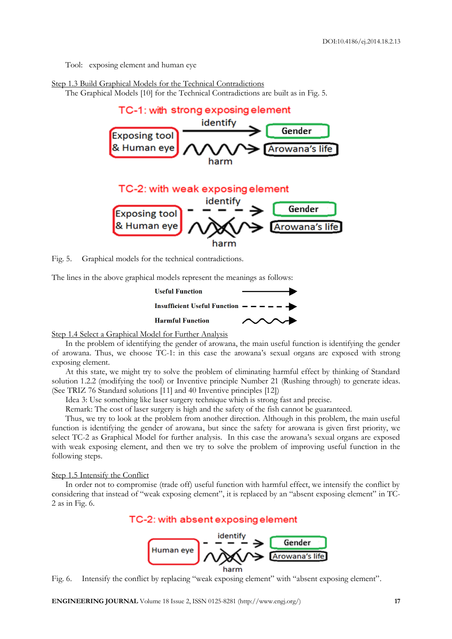Tool: exposing element and human eye

#### Step 1.3 Build Graphical Models for the Technical Contradictions

The Graphical Models [10] for the Technical Contradictions are built as in Fig. 5.



Fig. 5. Graphical models for the technical contradictions.

The lines in the above graphical models represent the meanings as follows:



Step 1.4 Select a Graphical Model for Further Analysis

In the problem of identifying the gender of arowana, the main useful function is identifying the gender of arowana. Thus, we choose TC-1: in this case the arowana's sexual organs are exposed with strong exposing element.

At this state, we might try to solve the problem of eliminating harmful effect by thinking of Standard solution 1.2.2 (modifying the tool) or Inventive principle Number 21 (Rushing through) to generate ideas. (See TRIZ 76 Standard solutions [11] and 40 Inventive principles [12])

Idea 3: Use something like laser surgery technique which is strong fast and precise.

Remark: The cost of laser surgery is high and the safety of the fish cannot be guaranteed.

Thus, we try to look at the problem from another direction. Although in this problem, the main useful function is identifying the gender of arowana, but since the safety for arowana is given first priority, we select TC-2 as Graphical Model for further analysis. In this case the arowana's sexual organs are exposed with weak exposing element, and then we try to solve the problem of improving useful function in the following steps.

#### Step 1.5 Intensify the Conflict

In order not to compromise (trade off) useful function with harmful effect, we intensify the conflict by considering that instead of "weak exposing element", it is replaced by an "absent exposing element" in TC-2 as in Fig. 6.

# TC-2: with absent exposing element



Fig. 6. Intensify the conflict by replacing "weak exposing element" with "absent exposing element".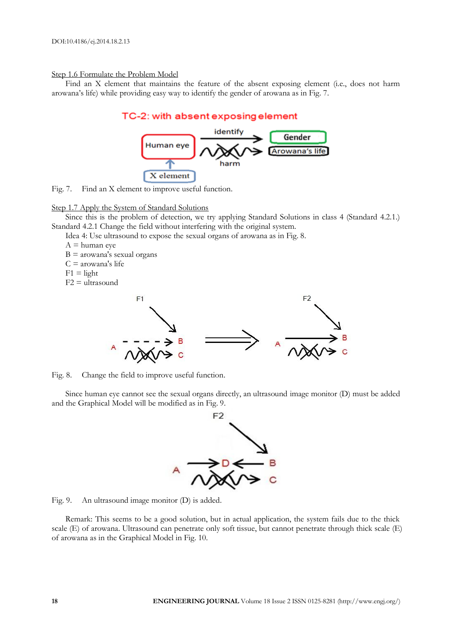#### Step 1.6 Formulate the Problem Model

Find an X element that maintains the feature of the absent exposing element (i.e., does not harm arowana's life) while providing easy way to identify the gender of arowana as in Fig. 7.

# TC-2: with absent exposing element





#### Step 1.7 Apply the System of Standard Solutions

Since this is the problem of detection, we try applying Standard Solutions in class 4 (Standard 4.2.1.) Standard 4.2.1 Change the field without interfering with the original system.

Idea 4: Use ultrasound to expose the sexual organs of arowana as in Fig. 8.

 $A =$ human eye

 $B =$  arowana's sexual organs

 $C =$  arowana's life

 $F1 =$ light

F2 = ultrasound



Fig. 8. Change the field to improve useful function.

Since human eye cannot see the sexual organs directly, an ultrasound image monitor (D) must be added and the Graphical Model will be modified as in Fig. 9.



Fig. 9. An ultrasound image monitor (D) is added.

Remark: This seems to be a good solution, but in actual application, the system fails due to the thick scale (E) of arowana. Ultrasound can penetrate only soft tissue, but cannot penetrate through thick scale (E) of arowana as in the Graphical Model in Fig. 10.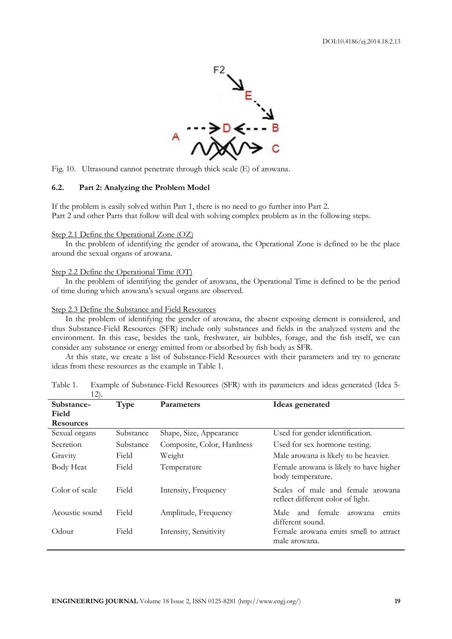

Fig. 10. Ultrasound cannot penetrate through thick scale (E) of arowana.

#### **6.2. Part 2: Analyzing the Problem Model**

If the problem is easily solved within Part 1, there is no need to go further into Part 2. Part 2 and other Parts that follow will deal with solving complex problem as in the following steps.

#### Step 2.1 Define the Operational Zone (OZ)

In the problem of identifying the gender of arowana, the Operational Zone is defined to be the place around the sexual organs of arowana.

#### Step 2.2 Define the Operational Time (OT)

In the problem of identifying the gender of arowana, the Operational Time is defined to be the period of time during which arowana's sexual organs are observed.

#### Step 2.3 Define the Substance and Field Resources

In the problem of identifying the gender of arowana, the absent exposing element is considered, and thus Substance-Field Resources (SFR) include only substances and fields in the analyzed system and the environment. In this case, besides the tank, freshwater, air bubbles, forage, and the fish itself, we can consider any substance or energy emitted from or absorbed by fish body as SFR.

At this state, we create a list of Substance-Field Resources with their parameters and try to generate ideas from these resources as the example in Table 1.

| $1 \angle$ .     |           |                            |                                         |
|------------------|-----------|----------------------------|-----------------------------------------|
| Substance-       | Type      | <b>Parameters</b>          | Ideas generated                         |
| Field            |           |                            |                                         |
| <b>Resources</b> |           |                            |                                         |
| Sexual organs    | Substance | Shape, Size, Appearance    | Used for gender identification.         |
| Secretion        | Substance | Composite, Color, Hardness | Used for sex hormone testing.           |
| Gravity          | Field     | Weight                     | Male arowana is likely to be heavier.   |
| Body Heat        | Field     | Temperature                | Female arowana is likely to have higher |
|                  |           |                            | body temperature.                       |
| Color of scale   | Field     | Intensity, Frequency       | Scales of male and female arowana       |
|                  |           |                            | reflect different color of light.       |
| Acoustic sound   | Field     | Amplitude, Frequency       | and female<br>Male<br>emits<br>arowana  |
|                  |           |                            | different sound.                        |
| Odour            | Field     | Intensity, Sensitivity     | Female arowana emits smell to attract   |
|                  |           |                            | male arowana.                           |
|                  |           |                            |                                         |

Table 1. Example of Substance-Field Resources (SFR) with its parameters and ideas generated (Idea 5-  $12)$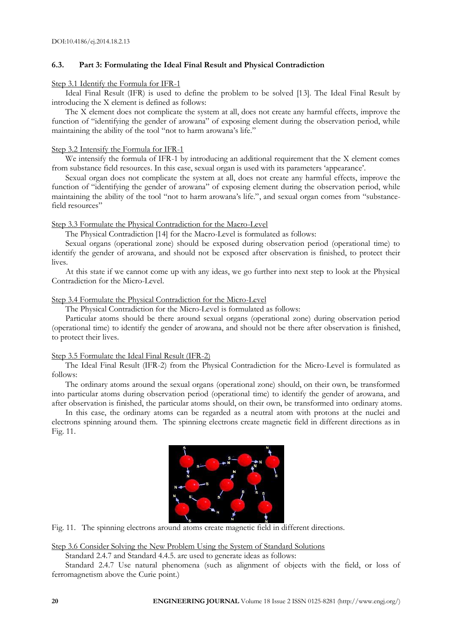# **6.3. Part 3: Formulating the Ideal Final Result and Physical Contradiction**

#### Step 3.1 Identify the Formula for IFR-1

Ideal Final Result (IFR) is used to define the problem to be solved [13]. The Ideal Final Result by introducing the X element is defined as follows:

The X element does not complicate the system at all, does not create any harmful effects, improve the function of "identifying the gender of arowana" of exposing element during the observation period, while maintaining the ability of the tool "not to harm arowana's life."

#### Step 3.2 Intensify the Formula for IFR-1

We intensify the formula of IFR-1 by introducing an additional requirement that the X element comes from substance field resources. In this case, sexual organ is used with its parameters 'appearance'.

Sexual organ does not complicate the system at all, does not create any harmful effects, improve the function of "identifying the gender of arowana" of exposing element during the observation period, while maintaining the ability of the tool "not to harm arowana's life.", and sexual organ comes from "substancefield resources"

#### Step 3.3 Formulate the Physical Contradiction for the Macro-Level

The Physical Contradiction [14] for the Macro-Level is formulated as follows:

Sexual organs (operational zone) should be exposed during observation period (operational time) to identify the gender of arowana, and should not be exposed after observation is finished, to protect their lives.

At this state if we cannot come up with any ideas, we go further into next step to look at the Physical Contradiction for the Micro-Level.

#### Step 3.4 Formulate the Physical Contradiction for the Micro-Level

The Physical Contradiction for the Micro-Level is formulated as follows:

Particular atoms should be there around sexual organs (operational zone) during observation period (operational time) to identify the gender of arowana, and should not be there after observation is finished, to protect their lives.

#### Step 3.5 Formulate the Ideal Final Result (IFR-2)

The Ideal Final Result (IFR-2) from the Physical Contradiction for the Micro-Level is formulated as follows:

The ordinary atoms around the sexual organs (operational zone) should, on their own, be transformed into particular atoms during observation period (operational time) to identify the gender of arowana, and after observation is finished, the particular atoms should, on their own, be transformed into ordinary atoms.

In this case, the ordinary atoms can be regarded as a neutral atom with protons at the nuclei and electrons spinning around them. The spinning electrons create magnetic field in different directions as in Fig. 11.



Fig. 11. The spinning electrons around atoms create magnetic field in different directions.

Step 3.6 Consider Solving the New Problem Using the System of Standard Solutions

Standard 2.4.7 and Standard 4.4.5. are used to generate ideas as follows:

Standard 2.4.7 Use natural phenomena (such as alignment of objects with the field, or loss of ferromagnetism above the Curie point.)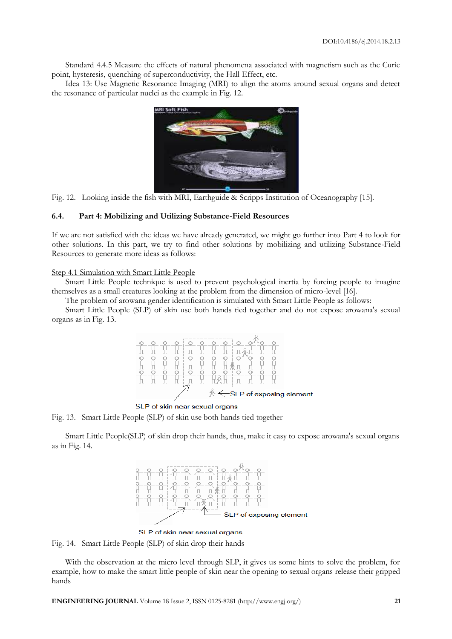Standard 4.4.5 Measure the effects of natural phenomena associated with magnetism such as the Curie point, hysteresis, quenching of superconductivity, the Hall Effect, etc.

Idea 13: Use Magnetic Resonance Imaging (MRI) to align the atoms around sexual organs and detect the resonance of particular nuclei as the example in Fig. 12.



Fig. 12. Looking inside the fish with MRI, Earthguide & Scripps Institution of Oceanography [15].

### **6.4. Part 4: Mobilizing and Utilizing Substance-Field Resources**

If we are not satisfied with the ideas we have already generated, we might go further into Part 4 to look for other solutions. In this part, we try to find other solutions by mobilizing and utilizing Substance-Field Resources to generate more ideas as follows:

#### Step 4.1 Simulation with Smart Little People

Smart Little People technique is used to prevent psychological inertia by forcing people to imagine themselves as a small creatures looking at the problem from the dimension of micro-level [16].

The problem of arowana gender identification is simulated with Smart Little People as follows:

Smart Little People (SLP) of skin use both hands tied together and do not expose arowana's sexual organs as in Fig. 13.



SLP of skin near sexual organs

Fig. 13. Smart Little People (SLP) of skin use both hands tied together

Smart Little People(SLP) of skin drop their hands, thus, make it easy to expose arowana's sexual organs as in Fig. 14.



SLP of skin near sexual organs

Fig. 14. Smart Little People (SLP) of skin drop their hands

With the observation at the micro level through SLP, it gives us some hints to solve the problem, for example, how to make the smart little people of skin near the opening to sexual organs release their gripped hands

**ENGINEERING JOURNAL** Volume 18 Issue 2, ISSN 0125-8281 (http://www.engj.org/) **21**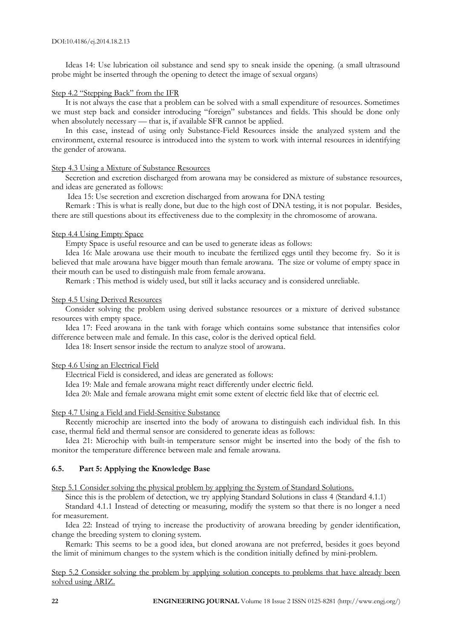Ideas 14: Use lubrication oil substance and send spy to sneak inside the opening. (a small ultrasound probe might be inserted through the opening to detect the image of sexual organs)

#### Step 4.2 "Stepping Back" from the IFR

It is not always the case that a problem can be solved with a small expenditure of resources. Sometimes we must step back and consider introducing "foreign" substances and fields. This should be done only when absolutely necessary — that is, if available SFR cannot be applied.

In this case, instead of using only Substance-Field Resources inside the analyzed system and the environment, external resource is introduced into the system to work with internal resources in identifying the gender of arowana.

#### Step 4.3 Using a Mixture of Substance Resources

Secretion and excretion discharged from arowana may be considered as mixture of substance resources, and ideas are generated as follows:

Idea 15: Use secretion and excretion discharged from arowana for DNA testing

Remark : This is what is really done, but due to the high cost of DNA testing, it is not popular. Besides, there are still questions about its effectiveness due to the complexity in the chromosome of arowana.

#### Step 4.4 Using Empty Space

Empty Space is useful resource and can be used to generate ideas as follows:

Idea 16: Male arowana use their mouth to incubate the fertilized eggs until they become fry. So it is believed that male arowana have bigger mouth than female arowana. The size or volume of empty space in their mouth can be used to distinguish male from female arowana.

Remark : This method is widely used, but still it lacks accuracy and is considered unreliable.

#### Step 4.5 Using Derived Resources

Consider solving the problem using derived substance resources or a mixture of derived substance resources with empty space.

Idea 17: Feed arowana in the tank with forage which contains some substance that intensifies color difference between male and female. In this case, color is the derived optical field.

Idea 18: Insert sensor inside the rectum to analyze stool of arowana.

#### Step 4.6 Using an Electrical Field

Electrical Field is considered, and ideas are generated as follows:

Idea 19: Male and female arowana might react differently under electric field.

Idea 20: Male and female arowana might emit some extent of electric field like that of electric eel.

#### Step 4.7 Using a Field and Field-Sensitive Substance

Recently microchip are inserted into the body of arowana to distinguish each individual fish. In this case, thermal field and thermal sensor are considered to generate ideas as follows:

Idea 21: Microchip with built-in temperature sensor might be inserted into the body of the fish to monitor the temperature difference between male and female arowana.

# **6.5. Part 5: Applying the Knowledge Base**

Step 5.1 Consider solving the physical problem by applying the System of Standard Solutions.

Since this is the problem of detection, we try applying Standard Solutions in class 4 (Standard 4.1.1)

Standard 4.1.1 Instead of detecting or measuring, modify the system so that there is no longer a need for measurement.

Idea 22: Instead of trying to increase the productivity of arowana breeding by gender identification, change the breeding system to cloning system.

Remark: This seems to be a good idea, but cloned arowana are not preferred, besides it goes beyond the limit of minimum changes to the system which is the condition initially defined by mini-problem.

Step 5.2 Consider solving the problem by applying solution concepts to problems that have already been solved using ARIZ.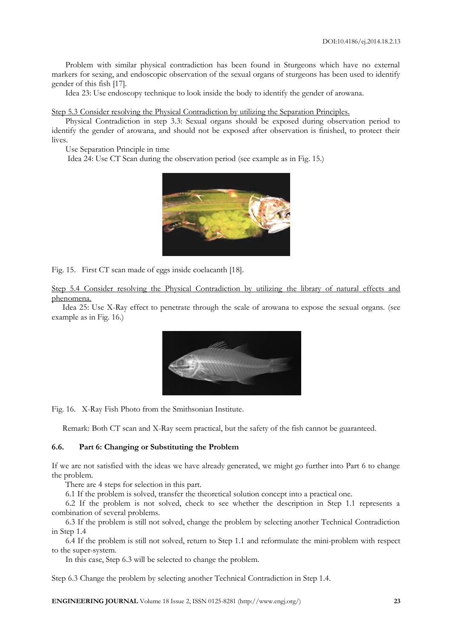Problem with similar physical contradiction has been found in Sturgeons which have no external markers for sexing, and endoscopic observation of the sexual organs of sturgeons has been used to identify gender of this fish [17].

Idea 23: Use endoscopy technique to look inside the body to identify the gender of arowana.

Step 5.3 Consider resolving the Physical Contradiction by utilizing the Separation Principles.

Physical Contradiction in step 3.3: Sexual organs should be exposed during observation period to identify the gender of arowana, and should not be exposed after observation is finished, to protect their lives.

Use Separation Principle in time

Idea 24: Use CT Scan during the observation period (see example as in Fig. 15.)



Fig. 15. First CT scan made of eggs inside coelacanth [18].

Step 5.4 Consider resolving the Physical Contradiction by utilizing the library of natural effects and phenomena.

Idea 25: Use X-Ray effect to penetrate through the scale of arowana to expose the sexual organs. (see example as in Fig. 16.)



Fig. 16. X-Ray Fish Photo from the Smithsonian Institute.

Remark: Both CT scan and X-Ray seem practical, but the safety of the fish cannot be guaranteed.

# **6.6. Part 6: Changing or Substituting the Problem**

If we are not satisfied with the ideas we have already generated, we might go further into Part 6 to change the problem.

There are 4 steps for selection in this part.

6.1 If the problem is solved, transfer the theoretical solution concept into a practical one.

6.2 If the problem is not solved, check to see whether the description in Step 1.1 represents a combination of several problems.

6.3 If the problem is still not solved, change the problem by selecting another Technical Contradiction in Step 1.4

6.4 If the problem is still not solved, return to Step 1.1 and reformulate the mini-problem with respect to the super-system.

In this case, Step 6.3 will be selected to change the problem.

Step 6.3 Change the problem by selecting another Technical Contradiction in Step 1.4.

**ENGINEERING JOURNAL** Volume 18 Issue 2, ISSN 0125-8281 (http://www.engj.org/) **23**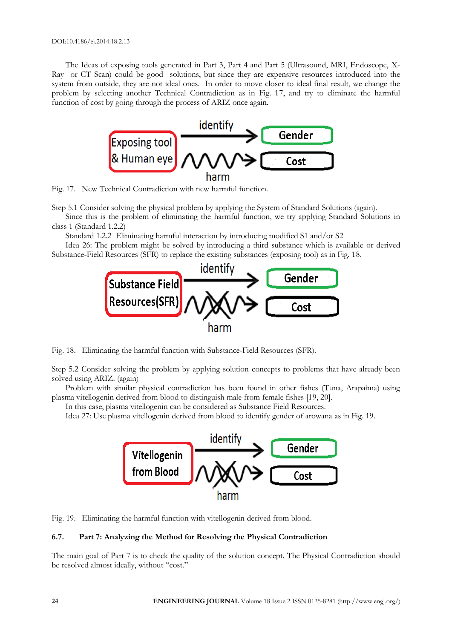The Ideas of exposing tools generated in Part 3, Part 4 and Part 5 (Ultrasound, MRI, Endoscope, X-Ray or CT Scan) could be good solutions, but since they are expensive resources introduced into the system from outside, they are not ideal ones. In order to move closer to ideal final result, we change the problem by selecting another Technical Contradiction as in Fig. 17, and try to eliminate the harmful function of cost by going through the process of ARIZ once again.



Fig. 17. New Technical Contradiction with new harmful function.

Step 5.1 Consider solving the physical problem by applying the System of Standard Solutions (again).

Since this is the problem of eliminating the harmful function, we try applying Standard Solutions in class 1 (Standard 1.2.2)

Standard 1.2.2 Eliminating harmful interaction by introducing modified S1 and/or S2

Idea 26: The problem might be solved by introducing a third substance which is available or derived Substance-Field Resources (SFR) to replace the existing substances (exposing tool) as in Fig. 18.



Fig. 18. Eliminating the harmful function with Substance-Field Resources (SFR).

Step 5.2 Consider solving the problem by applying solution concepts to problems that have already been solved using ARIZ. (again)

Problem with similar physical contradiction has been found in other fishes (Tuna, Arapaima) using plasma vitellogenin derived from blood to distinguish male from female fishes [19, 20].

In this case, plasma vitellogenin can be considered as Substance Field Resources.

Idea 27: Use plasma vitellogenin derived from blood to identify gender of arowana as in Fig. 19.



Fig. 19. Eliminating the harmful function with vitellogenin derived from blood.

# **6.7. Part 7: Analyzing the Method for Resolving the Physical Contradiction**

The main goal of Part 7 is to check the quality of the solution concept. The Physical Contradiction should be resolved almost ideally, without "cost."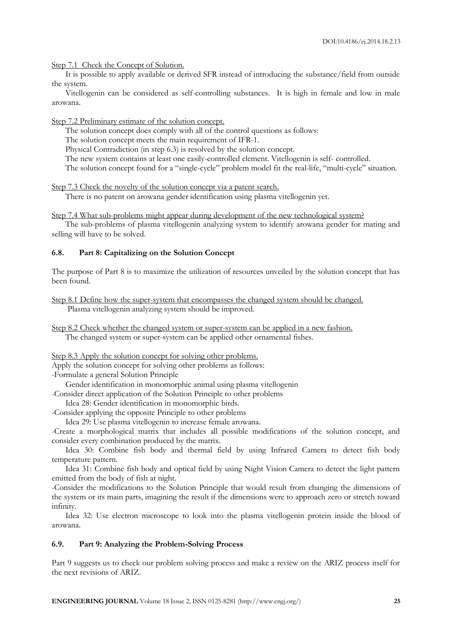Step 7.1 Check the Concept of Solution.

It is possible to apply available or derived SFR instead of introducing the substance/field from outside the system.

Vitellogenin can be considered as self-controlling substances. It is high in female and low in male arowana.

Step 7.2 Preliminary estimate of the solution concept.

The solution concept does comply with all of the control questions as follows:

The solution concept meets the main requirement of IFR-1.

Physical Contradiction (in step 6.3) is resolved by the solution concept.

The new system contains at least one easily-controlled element. Vitellogenin is self- controlled.

The solution concept found for a "single-cycle" problem model fit the real-life, "multi-cycle" situation.

Step 7.3 Check the novelty of the solution concept via a patent search.

There is no patent on arowana gender identification using plasma vitellogenin yet.

Step 7.4 What sub-problems might appear during development of the new technological system?

The sub-problems of plasma vitellogenin analyzing system to identify arowana gender for mating and selling will have to be solved.

### **6.8. Part 8: Capitalizing on the Solution Concept**

The purpose of Part 8 is to maximize the utilization of resources unveiled by the solution concept that has been found.

Step 8.1 Define how the super-system that encompasses the changed system should be changed. Plasma vitellogenin analyzing system should be improved.

Step 8.2 Check whether the changed system or super-system can be applied in a new fashion. The changed system or super-system can be applied other ornamental fishes.

Step 8.3 Apply the solution concept for solving other problems.

Apply the solution concept for solving other problems as follows:

-Formulate a general Solution Principle

Gender identification in monomorphic animal using plasma vitellogenin

-Consider direct application of the Solution Principle to other problems

Idea 28: Gender identification in monomorphic birds.

-Consider applying the opposite Principle to other problems

Idea 29: Use plasma vitellogenin to increase female arowana.

-Create a morphological matrix that includes all possible modifications of the solution concept, and consider every combination produced by the matrix.

Idea 30: Combine fish body and thermal field by using Infrared Camera to detect fish body temperature pattern.

Idea 31: Combine fish body and optical field by using Night Vision Camera to detect the light pattern emitted from the body of fish at night.

-Consider the modifications to the Solution Principle that would result from changing the dimensions of the system or its main parts, imagining the result if the dimensions were to approach zero or stretch toward infinity.

Idea 32: Use electron microscope to look into the plasma vitellogenin protein inside the blood of arowana.

# **6.9. Part 9: Analyzing the Problem-Solving Process**

Part 9 suggests us to check our problem solving process and make a review on the ARIZ process itself for the next revisions of ARIZ.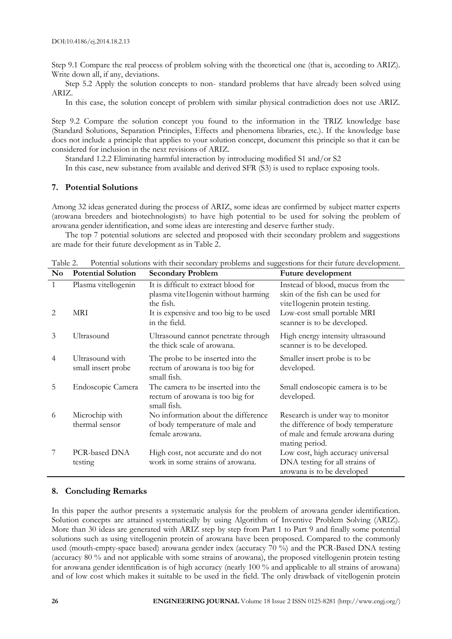Step 9.1 Compare the real process of problem solving with the theoretical one (that is, according to ARIZ). Write down all, if any, deviations.

Step 5.2 Apply the solution concepts to non- standard problems that have already been solved using ARIZ.

In this case, the solution concept of problem with similar physical contradiction does not use ARIZ.

Step 9.2 Compare the solution concept you found to the information in the TRIZ knowledge base (Standard Solutions, Separation Principles, Effects and phenomena libraries, etc.). If the knowledge base does not include a principle that applies to your solution concept, document this principle so that it can be considered for inclusion in the next revisions of ARIZ.

Standard 1.2.2 Eliminating harmful interaction by introducing modified S1 and/or S2

In this case, new substance from available and derived SFR (S3) is used to replace exposing tools.

#### **7. Potential Solutions**

Among 32 ideas generated during the process of ARIZ, some ideas are confirmed by subject matter experts (arowana breeders and biotechnologists) to have high potential to be used for solving the problem of arowana gender identification, and some ideas are interesting and deserve further study.

The top 7 potential solutions are selected and proposed with their secondary problem and suggestions are made for their future development as in Table 2.

| $\mathbf{N}\mathbf{o}$ | <b>Potential Solution</b>             | common condition with their occommy problems and cappedions rol their ratare developments<br><b>Secondary Problem</b> | Future development                                                                                                            |
|------------------------|---------------------------------------|-----------------------------------------------------------------------------------------------------------------------|-------------------------------------------------------------------------------------------------------------------------------|
| $\mathbf{1}$           | Plasma vitellogenin                   | It is difficult to extract blood for<br>plasma vite1logenin without harming<br>the fish.                              | Instead of blood, mucus from the<br>skin of the fish can be used for<br>vite1logenin protein testing.                         |
| 2                      | MRI                                   | It is expensive and too big to be used<br>in the field.                                                               | Low-cost small portable MRI<br>scanner is to be developed.                                                                    |
| 3                      | Ultrasound                            | Ultrasound cannot penetrate through<br>the thick scale of arowana.                                                    | High energy intensity ultrasound<br>scanner is to be developed.                                                               |
| 4                      | Ultrasound with<br>small insert probe | The probe to be inserted into the<br>rectum of arowana is too big for<br>small fish.                                  | Smaller insert probe is to be<br>developed.                                                                                   |
| 5                      | Endoscopic Camera                     | The camera to be inserted into the<br>rectum of arowana is too big for<br>small fish.                                 | Small endoscopic camera is to be<br>developed.                                                                                |
| 6                      | Microchip with<br>thermal sensor      | No information about the difference<br>of body temperature of male and<br>female arowana.                             | Research is under way to monitor<br>the difference of body temperature<br>of male and female arowana during<br>mating period. |
|                        | PCR-based DNA<br>testing              | High cost, not accurate and do not<br>work in some strains of arowana.                                                | Low cost, high accuracy universal<br>DNA testing for all strains of<br>arowana is to be developed                             |

Table 2. Potential solutions with their secondary problems and suggestions for their future development.

#### **8. Concluding Remarks**

In this paper the author presents a systematic analysis for the problem of arowana gender identification. Solution concepts are attained systematically by using Algorithm of Inventive Problem Solving (ARIZ). More than 30 ideas are generated with ARIZ step by step from Part 1 to Part 9 and finally some potential solutions such as using vitellogenin protein of arowana have been proposed. Compared to the commonly used (mouth-empty-space based) arowana gender index (accuracy 70 %) and the PCR-Based DNA testing (accuracy 80 % and not applicable with some strains of arowana), the proposed vitellogenin protein testing for arowana gender identification is of high accuracy (nearly 100 % and applicable to all strains of arowana) and of low cost which makes it suitable to be used in the field. The only drawback of vitellogenin protein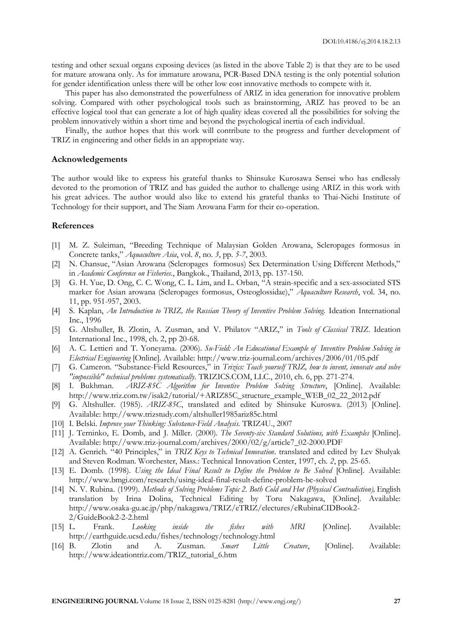testing and other sexual organs exposing devices (as listed in the above Table 2) is that they are to be used for mature arowana only. As for immature arowana, PCR-Based DNA testing is the only potential solution for gender identification unless there will be other low cost innovative methods to compete with it.

This paper has also demonstrated the powerfulness of ARIZ in idea generation for innovative problem solving. Compared with other psychological tools such as brainstorming, ARIZ has proved to be an effective logical tool that can generate a lot of high quality ideas covered all the possibilities for solving the problem innovatively within a short time and beyond the psychological inertia of each individual.

Finally, the author hopes that this work will contribute to the progress and further development of TRIZ in engineering and other fields in an appropriate way.

#### **Acknowledgements**

The author would like to express his grateful thanks to Shinsuke Kurosawa Sensei who has endlessly devoted to the promotion of TRIZ and has guided the author to challenge using ARIZ in this work with his great advices. The author would also like to extend his grateful thanks to Thai-Nichi Institute of Technology for their support, and The Siam Arowana Farm for their co-operation.

### **References**

- [1] M. Z. Suleiman, "Breeding Technique of Malaysian Golden Arowana, Scleropages formosus in Concrete tanks," *Aquaculture Asia*, vol. *8*, no. *3*, pp. *5*-*7*, 2003.
- [2] N. Chansue, "Asian Arowana (Scleropages formosus) Sex Determination Using Different Methods," in *Academic Conference on Fisheries.*, Bangkok., Thailand, 2013, pp. 137-150.
- [3] G. H. Yue, D. Ong, C. C. Wong, C. L. Lim, and L. Orban, "A strain-specific and a sex-associated STS marker for Asian arowana (Scleropages formosus, Osteoglossidae)," *Aquaculture Research*, vol. 34, no. 11, pp. 951-957, 2003.
- [4] S. Kaplan, *An Introduction to TRIZ, the Russian Theory of Inventive Problem Solving.* Ideation International Inc., 1996
- [5] G. Altshuller, B. Zlotin, A. Zusman, and V. Philatov "ARIZ," in *Tools of Classical TRIZ*. Ideation International Inc., 1998, ch. 2, pp 20-68.
- [6] A. C. Lettieri and T. Yoneyama. (2006). *Su-Field: An Educational Example of Inventive Problem Solving in Electrical Engineering* [Online]. Available: http://www.triz-journal.com/archives/2006/01/05.pdf
- [7] G. Cameron. "Substance-Field Resources," in *Trizics: Teach yourself TRIZ, how to invent, innovate and solve "impossible" technical problems systematically.* TRIZICS.COM, LLC., 2010, ch. 6, pp. 271-274.
- [8] I. Bukhman. *ARIZ-85C Algorithm for Inventive Problem Solving Structure*, [Online]. Available: http://www.triz.com.tw/isak2/tutorial/+ARIZ85C\_structure\_example\_WEB\_02\_22\_2012.pdf
- [9] G. Altshuller. (1985). *ARIZ-85C*, translated and edited by Shinsuke Kuroswa. (2013) [Online]. Available: http://www.trizstudy.com/altshuller1985ariz85c.html
- [10] I. Belski. *Improve your Thinking: Substance-Field Analysis.* TRIZ4U., 2007
- [11] J. Terninko, E. Domb, and J. Miller. (2000)*. The Seventy-six Standard Solutions, with Examples* [Online]. Available: http://www.triz-journal.com/archives/2000/02/g/article7\_02-2000.PDF
- [12] A. Genrich. "40 Principles," in *TRIZ Keys to Technical Innovation*. translated and edited by Lev Shulyak and Steven Rodman. Worchester, Mass.: Technical Innovation Center, 1997, ch. *2*, pp. 25-65.
- [13] E. Domb. (1998). *Using the Ideal Final Result to Define the Problem to Be Solved* [Online]. Available: http://www.bmgi.com/research/using-ideal-final-result-define-problem-be-solved
- [14] N. V. Rubina. (1999). *Methods of Solving Problems Topic 2. Both Cold and Hot (Physical Contradiction),* English translation by Irina Dolina, Technical Editing by Toru Nakagawa, [Online]. Available: http://www.osaka-gu.ac.jp/php/nakagawa/TRIZ/eTRIZ/electures/eRubinaCIDBook2- 2/GuideBook2-2-2.html
- [15] L. Frank. *Looking inside the fishes with MRI* [Online]. Available: http://earthguide.ucsd.edu/fishes/technology/technology.html
- [16] B. Zlotin and A. Zusman. *Smart Little Creature*, [Online]. Available: http://www.ideationtriz.com/TRIZ\_tutorial\_6.htm